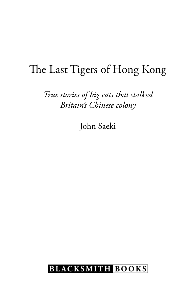## The Last Tigers of Hong Kong

*True stories of big cats that stalked Britain's Chinese colony*

John Saeki

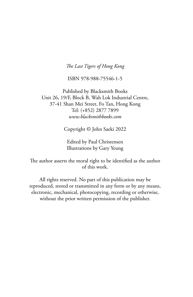### *The Last Tigers of Hong Kong*

ISBN 978-988-75546-1-5

Published by Blacksmith Books Unit 26, 19/F, Block B, Wah Lok Industrial Centre, 37-41 Shan Mei Street, Fo Tan, Hong Kong Tel: (+852) 2877 7899 *www.blacksmithbooks.com*

Copyright © John Saeki 2022

Edited by Paul Christensen Illustrations by Gary Yeung

The author asserts the moral right to be identified as the author of this work.

All rights reserved. No part of this publication may be reproduced, stored or transmitted in any form or by any means, electronic, mechanical, photocopying, recording or otherwise, without the prior written permission of the publisher.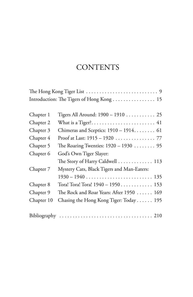### **CONTENTS**

|            | Introduction: The Tigers of Hong Kong  15  |
|------------|--------------------------------------------|
|            |                                            |
| Chapter 1  | Tigers All Around: 1900 - 1910 25          |
| Chapter 2  |                                            |
| Chapter 3  | Chimeras and Sceptics: $1910 - 1914$ 61    |
| Chapter 4  | Proof at Last: 1915 - 1920  77             |
| Chapter 5  | The Roaring Twenties: $1920 - 1930$ 95     |
| Chapter 6  | God's Own Tiger Slayer:                    |
|            | The Story of Harry Caldwell  113           |
| Chapter 7  | Mystery Cats, Black Tigers and Man-Eaters: |
|            |                                            |
| Chapter 8  | Tora! Tora! Tora! 1940 - 1950 153          |
| Chapter 9  | The Rock and Roar Years: After 1950  169   |
| Chapter 10 | Chasing the Hong Kong Tiger: Today 195     |
|            |                                            |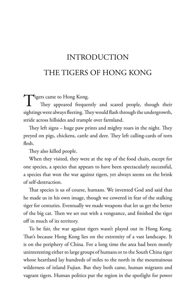# INTRoDUCTIoN THE TIGERS oF HoNG KoNG

Tigers came to Hong Kong.<br>They appeared frequency They appeared frequently and scared people, though their sightings were always fleeting. They would flash through the undergrowth, stride across hillsides and trample over farmland.

They left signs – huge paw prints and mighty roars in the night. They preyed on pigs, chickens, cattle and deer. They left calling-cards of torn flesh.

They also killed people.

When they visited, they were at the top of the food chain, except for one species, a species that appears to have been spectacularly successful, a species that won the war against tigers, yet always seems on the brink of self-destruction.

That species is us of course, humans. We invented God and said that he made us in his own image, though we cowered in fear of the stalking tiger for centuries. Eventually we made weapons that let us get the better of the big cat. Then we set out with a vengeance, and finished the tiger off in much of its territory.

To be fair, the war against tigers wasn't played out in Hong Kong. That's because Hong Kong lies on the extremity of a vast landscape. It is on the periphery of China. For a long time the area had been mostly uninteresting either to large groups of humans or to the South China tiger whose heartland lay hundreds of miles to the north in the mountainous wilderness of inland Fujian. But they both came, human migrants and vagrant tigers. Human politics put the region in the spotlight for power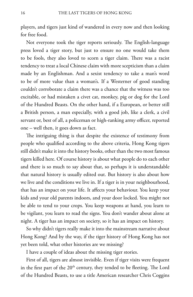players, and tigers just kind of wandered in every now and then looking for free food.

Not everyone took the tiger reports seriously. The English-language press loved a tiger story, but just to ensure no one would take them to be fools, they also loved to scorn a tiger claim. There was a racist tendency to treat a local Chinese claim with more scepticism than a claim made by an Englishman. And a sexist tendency to take a man's word to be of more value than a woman's. If a Westerner of good standing couldn't corroborate a claim there was a chance that the witness was too excitable, or had mistaken a civet cat, monkey, pig or dog for the Lord of the Hundred Beasts. On the other hand, if a European, or better still a British person, a man especially, with a good job, like a clerk, a civil servant or, best of all, a policeman or high-ranking army officer, reported one – well then, it goes down as fact.

The intriguing thing is that despite the existence of testimony from people who qualified according to the above criteria, Hong Kong tigers still didn't make it into the history books, other than the two most famous tigers killed here. Of course history is about what people do to each other and there is so much to say about that, so perhaps it is understandable that natural history is usually edited out. But history is also about how we live and the conditions we live in. If a tiger is in your neighbourhood, that has an impact on your life. It affects your behaviour. You keep your kids and your old parents indoors, and your door locked. You might not be able to tend to your crops. You keep weapons at hand, you learn to be vigilant, you learn to read the signs. You don't wander about alone at night. A tiger has an impact on society, so it has an impact on history.

So why didn't tigers really make it into the mainstream narrative about Hong Kong? And by the way, if the tiger history of Hong Kong has not yet been told, what other histories are we missing?

I have a couple of ideas about the missing tiger stories.

First of all, tigers are almost invisible. Even if tiger visits were frequent in the first part of the  $20<sup>th</sup>$  century, they tended to be fleeting. The Lord of the Hundred Beasts, to use a title American researcher Chris Coggins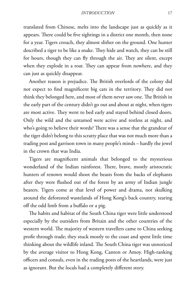*INTRODUCTION* 17

translated from Chinese, melts into the landscape just as quickly as it appears. There could be five sightings in a district one month, then none for a year. Tigers crouch, they almost slither on the ground. One hunter described a tiger to be like a snake. They hide and watch, they can be still for hours, though they can fly through the air. They are silent, except when they explode in a roar. They can appear from nowhere, and they can just as quickly disappear.

Another reason is prejudice. The British overlords of the colony did not expect to find magnificent big cats in the territory. They did not think they belonged here, and most of them never saw one. The British in the early part of the century didn't go out and about at night, when tigers are most active. They went to bed early and stayed behind closed doors. only the wild and the untamed were active and restless at night, and who's going to believe their words? There was a sense that the grandeur of the tiger didn't belong to this scratty place that was not much more than a trading post and garrison town in many people's minds – hardly the jewel in the crown that was India.

Tigers are magnificent animals that belonged to the mysterious wonderland of the Indian rainforest. There, brave, mostly aristocratic hunters of renown would shoot the beasts from the backs of elephants after they were flushed out of the forest by an army of Indian jungle beaters. Tigers come at that level of power and drama, not skulking around the deforested wastelands of Hong Kong's back country, tearing off the odd limb from a buffalo or a pig.

The habits and habitat of the South China tiger were little understood especially by the outsiders from Britain and the other countries of the western world. The majority of western travellers came to China seeking profit through trade; they stuck mostly to the coast and spent little time thinking about the wildlife inland. The South China tiger was unnoticed by the average visitor to Hong Kong, Canton or Amoy. High-ranking officers and consuls, even in the trading posts of the heartlands, were just as ignorant. But the locals had a completely different story.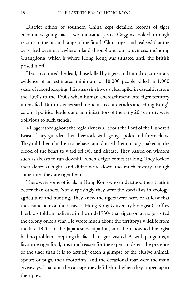District offices of southern China kept detailed records of tiger encounters going back two thousand years. Coggins looked through records in the natural range of the South China tiger and realised that the beast had been everywhere inland throughout four provinces, including Guangdong, which is where Hong Kong was situated until the British prised it off.

He also counted the dead, those killed by tigers, and found documentary evidence of an estimated minimum of 10,000 people killed in 1,900 years of record keeping. His analysis shows a clear spike in casualties from the 1500s to the 1600s when human encroachment into tiger territory intensified. But this is research done in recent decades and Hong Kong's colonial political leaders and administrators of the early 20<sup>th</sup> century were oblivious to such trends.

Villagers throughout the region knew all about the Lord of the Hundred Beasts. They guarded their livestock with gongs, poles and firecrackers. They told their children to behave, and doused them in rags soaked in the blood of the beast to ward off evil and disease. They passed on wisdom such as always to run downhill when a tiger comes stalking. They locked their doors at night, and didn't write down too much history, though sometimes they ate tiger flesh.

There were some officials in Hong Kong who understood the situation better than others. Not surprisingly they were the specialists in zoology, agriculture and hunting. They knew the tigers were here, or at least that they came here on their travels. Hong Kong University biologist Geoffrey Herklots told an audience in the mid-1930s that tigers on average visited the colony once a year. He wrote much about the territory's wildlife from the late 1920s to the Japanese occupation, and the renowned biologist had no problem accepting the fact that tigers visited. As with pangolins, a favourite tiger food, it is much easier for the expert to detect the presence of the tiger than it is to actually catch a glimpse of the elusive animal. Spoors or pugs, their footprints, and the occasional roar were the main giveaways. That and the carnage they left behind when they ripped apart their prey.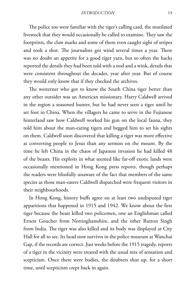The police too were familiar with the tiger's calling card, the mutilated livestock that they would occasionally be called to examine. They saw the footprints, the claw marks and some of them even caught sight of stripes and took a shot. The journalists got wind several times a year. There was no doubt an appetite for a good tiger yarn, but so often the hacks reported the details they had been told with a nod and a wink, details that were consistent throughout the decades, year after year. But of course they would only know that if they checked the archives.

The westerner who got to know the South China tiger better than any other outsider was an American missionary. Harry Caldwell arrived in the region a seasoned hunter, but he had never seen a tiger until he set foot in China. When the villagers he came to serve in the Fujianese hinterland saw how Caldwell worked his gun on the local fauna, they told him about the man-eating tigers and begged him to set his sights on them. Caldwell soon discovered that killing a tiger was more effective at converting people to Jesus than any sermon on the mount. By the time he left China in the chaos of Japanese invasion he had killed 48 of the beasts. His exploits in what seemed like far-off exotic lands were occasionally mentioned in Hong Kong press reports, though perhaps the readers were blissfully unaware of the fact that members of the same species as those man-eaters Caldwell dispatched were frequent visitors in their neighbourhoods.

In Hong Kong, history buffs agree on at least two undisputed tiger apparitions that happened in 1915 and 1942. We know about the first tiger because the beast killed two policemen, one an Englishman called Ernest Goucher from Nottinghamshire, and the other Rutton Singh from India. The tiger was also killed and its body was displayed at City Hall for all to see. Its head now survives in the police museum at Wanchai Gap, if the records are correct. Just weeks before the 1915 tragedy, reports of a tiger in the vicinity were treated with the usual mix of sensation and scepticism. Once there were bodies, the doubters shut up, for a short time, until scepticism crept back in again.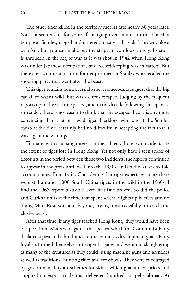The other tiger killed in the territory met its fate nearly 30 years later. You can see its skin for yourself, hanging over an altar in the Tin Hau temple at Stanley, ragged and tattered, mostly a dirty dark brown, like a bearskin, but you can make out the stripes if you look closely. Its story is shrouded in the fog of war as it was shot in 1942 when Hong Kong was under Japanese occupation, and record-keeping was in tatters. But there are accounts of it from former prisoners at Stanley who recalled the shooting party that went after the beast.

This tiger remains controversial as several accounts suggest that the big cat killed wasn't wild, but was a circus escapee. Judging by the frequent reports up to the wartime period, and in the decade following the Japanese surrender, there is no reason to think that the escapee theory is any more convincing than that of a wild tiger. Herklots, who was at the Stanley camp at the time, certainly had no difficulty in accepting the fact that it was a genuine wild tiger.

To many with a passing interest in the subject, those two incidents are the extent of tiger lore in Hong Kong. Yet not only have I seen scores of accounts in the period between those two incidents, the reports continued to appear in the press until well into the 1950s. In fact the latest credible account comes from 1965. Considering that tiger experts estimate there were still around 1,000 South China tigers in the wild in the 1960s, I find the 1965 report plausible, even if it isn't proven. So did the police and Gurkha units at the time that spent several nights up in trees around Shing Mun Reservoir and beyond, trying, unsuccessfully, to catch the elusive beast.

After that time, if any tiger reached Hong Kong, they would have been escapees from Mao's war against the species, which the Communist Party declared a pest and a hindrance to the country's development goals. Party loyalists formed themselves into tiger brigades and went out slaughtering as many of the creatures as they could, using machine guns and grenades as well as traditional hunting rifles and crossbows. They were encouraged by government buyout schemes for skins, which guaranteed prices and supplied an export trade that delivered hundreds of pelts abroad. At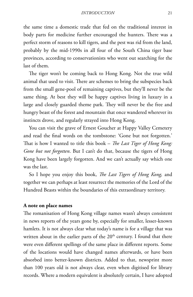the same time a domestic trade that fed on the traditional interest in body parts for medicine further encouraged the hunters. There was a perfect storm of reasons to kill tigers, and the pest was rid from the land, probably by the mid-1990s in all four of the South China tiger base provinces, according to conservationists who went out searching for the last of them.

The tiger won't be coming back to Hong Kong. Not the true wild animal that used to visit. There are schemes to bring the subspecies back from the small gene-pool of remaining captives, but they'll never be the same thing. At best they will be happy captives living in luxury in a large and closely guarded theme park. They will never be the free and hungry beast of the forest and mountain that once wandered wherever its instincts drove, and regularly strayed into Hong Kong.

You can visit the grave of Ernest Goucher at Happy Valley Cemetery and read the final words on the tombstone: 'Gone but not forgotten.' That is how I wanted to title this book – *The Last Tiger of Hong Kong: Gone but not forgotten*. But I can't do that, because the tigers of Hong Kong have been largely forgotten. And we can't actually say which one was the last.

So I hope you enjoy this book, *The Last Tigers of Hong Kong,* and together we can perhaps at least resurrect the memories of the Lord of the Hundred Beasts within the boundaries of this extraordinary territory.

#### **A note on place names**

The romanisation of Hong Kong village names wasn't always consistent in news reports of the years gone by, especially for smaller, lesser-known hamlets. It is not always clear what today's name is for a village that was written about in the earlier parts of the  $20<sup>th</sup>$  century. I found that there were even different spellings of the same place in different reports. Some of the locations would have changed names afterwards, or have been absorbed into better-known districts. Added to that, newsprint more than 100 years old is not always clear, even when digitised for library records. Where a modern equivalent is absolutely certain, I have adopted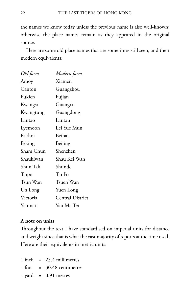the names we know today unless the previous name is also well-known; otherwise the place names remain as they appeared in the original source.

Here are some old place names that are sometimes still seen, and their modern equivalents:

| Old form  | Modern form             |
|-----------|-------------------------|
| Amoy      | Xiamen                  |
| Canton    | Guangzhou               |
| Fukien    | Fujian                  |
| Kwangsi   | Guangxi                 |
| Kwangtung | Guangdong               |
| Lantao    | Lantau                  |
| Lyemoon   | Lei Yue Mun             |
| Pakhoi    | Beihai                  |
| Peking    | Beijing                 |
| Sham Chun | Shenzhen                |
| Shaukiwan | Shau Kei Wan            |
| Shun Tak  | Shunde                  |
| Taipo     | Tai Po                  |
| Tsun Wan  | Tsuen Wan               |
| Un Long   | Yuen Long               |
| Victoria  | <b>Central District</b> |
| Yaumati   | Yau Ma Tei              |

### **A note on units**

Throughout the text I have standardised on imperial units for distance and weight since that is what the vast majority of reports at the time used. Here are their equivalents in metric units:

 $1$  inch = 25.4 millimetres  $1$  foot = 30.48 centimetres  $1$  yard =  $0.91$  metres